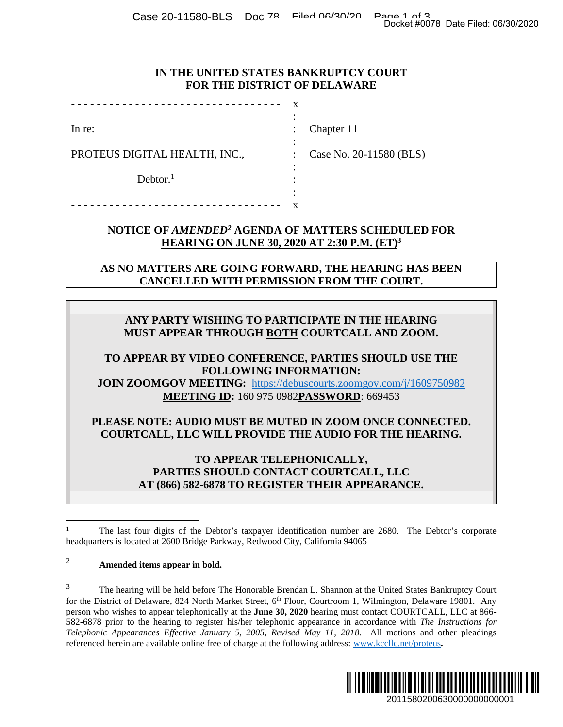Case 20-11580-BLS Doc 78 Filed 06/30/20 Page 1 of 3<br>Docket #0078 Date Filed: 06/30/2020

#### **IN THE UNITED STATES BANKRUPTCY COURT FOR THE DISTRICT OF DELAWARE**

| In re:                        | Chapter 11              |
|-------------------------------|-------------------------|
|                               |                         |
| PROTEUS DIGITAL HEALTH, INC., | Case No. 20-11580 (BLS) |
|                               |                         |
| Dektor. <sup>1</sup>          |                         |
|                               |                         |
|                               |                         |

## **NOTICE OF** *AMENDED<sup>2</sup>* **AGENDA OF MATTERS SCHEDULED FOR HEARING ON JUNE 30, 2020 AT 2:30 P.M. (ET)<sup>3</sup>**

**AS NO MATTERS ARE GOING FORWARD, THE HEARING HAS BEEN CANCELLED WITH PERMISSION FROM THE COURT.** 

# **ANY PARTY WISHING TO PARTICIPATE IN THE HEARING MUST APPEAR THROUGH BOTH COURTCALL AND ZOOM.**

### **TO APPEAR BY VIDEO CONFERENCE, PARTIES SHOULD USE THE FOLLOWING INFORMATION: JOIN ZOOMGOV MEETING:** https://debuscourts.zoomgov.com/j/1609750982

**MEETING ID:** 160 975 0982**PASSWORD**: 669453

**PLEASE NOTE: AUDIO MUST BE MUTED IN ZOOM ONCE CONNECTED. COURTCALL, LLC WILL PROVIDE THE AUDIO FOR THE HEARING.** 

> **TO APPEAR TELEPHONICALLY, PARTIES SHOULD CONTACT COURTCALL, LLC AT (866) 582-6878 TO REGISTER THEIR APPEARANCE.**

# <sup>2</sup> **Amended items appear in bold.**

<sup>&</sup>lt;sup>3</sup> The hearing will be held before The Honorable Brendan L. Shannon at the United States Bankruptcy Court for the District of Delaware, 824 North Market Street, 6<sup>th</sup> Floor, Courtroom 1, Wilmington, Delaware 19801. Any person who wishes to appear telephonically at the **June 30, 2020** hearing must contact COURTCALL, LLC at 866- 582-6878 prior to the hearing to register his/her telephonic appearance in accordance with *The Instructions for Telephonic Appearances Effective January 5, 2005, Revised May 11, 2018.* All motions and other pleadings referenced herein are available online free of charge at the following address: www.kccllc.net/proteus**.**  Docket #0078 Date Filed: 06/30/2020<br>
2011 URT<br>
2010 UED FOR<br>
2010 UED FOR<br>
2010 UED UED FOR<br>
2010 UED USE THE<br>
2010 UED USE THE<br>
2010 UED USE THE<br>
2011 UED USE THE<br>
2011 UED USE THE<br>
2010 UED USE THE<br>
2010 UED USE THE<br>
201



<sup>1</sup> The last four digits of the Debtor's taxpayer identification number are 2680. The Debtor's corporate headquarters is located at 2600 Bridge Parkway, Redwood City, California 94065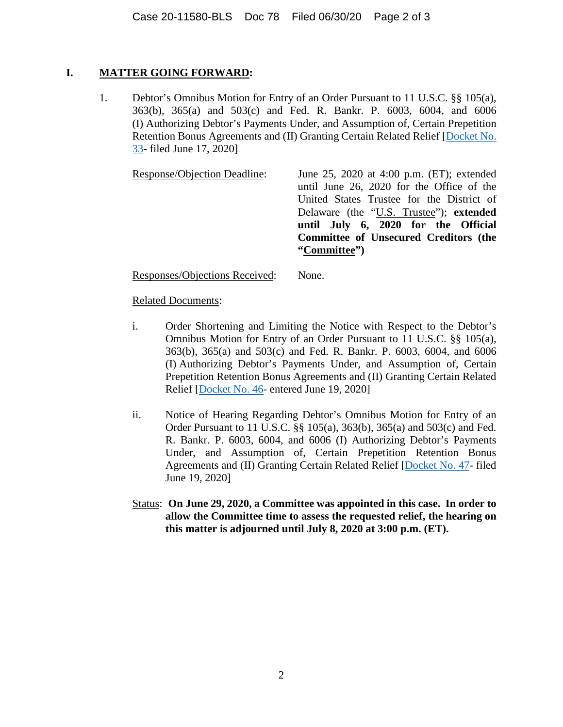## **I. MATTER GOING FORWARD:**

1. Debtor's Omnibus Motion for Entry of an Order Pursuant to 11 U.S.C. §§ 105(a), 363(b), 365(a) and 503(c) and Fed. R. Bankr. P. 6003, 6004, and 6006 (I) Authorizing Debtor's Payments Under, and Assumption of, Certain Prepetition Retention Bonus Agreements and (II) Granting Certain Related Relief [Docket No. 33- filed June 17, 2020]

Response/Objection Deadline: June 25, 2020 at 4:00 p.m. (ET); extended until June 26, 2020 for the Office of the United States Trustee for the District of Delaware (the "U.S. Trustee"); **extended until July 6, 2020 for the Official Committee of Unsecured Creditors (the "Committee")** 

Responses/Objections Received: None.

## Related Documents:

- i. Order Shortening and Limiting the Notice with Respect to the Debtor's Omnibus Motion for Entry of an Order Pursuant to 11 U.S.C. §§ 105(a), 363(b), 365(a) and 503(c) and Fed. R. Bankr. P. 6003, 6004, and 6006 (I) Authorizing Debtor's Payments Under, and Assumption of, Certain Prepetition Retention Bonus Agreements and (II) Granting Certain Related Relief [Docket No. 46- entered June 19, 2020]
- ii. Notice of Hearing Regarding Debtor's Omnibus Motion for Entry of an Order Pursuant to 11 U.S.C. §§ 105(a), 363(b), 365(a) and 503(c) and Fed. R. Bankr. P. 6003, 6004, and 6006 (I) Authorizing Debtor's Payments Under, and Assumption of, Certain Prepetition Retention Bonus Agreements and (II) Granting Certain Related Relief [Docket No. 47- filed June 19, 2020]
- Status: **On June 29, 2020, a Committee was appointed in this case. In order to allow the Committee time to assess the requested relief, the hearing on this matter is adjourned until July 8, 2020 at 3:00 p.m. (ET).**